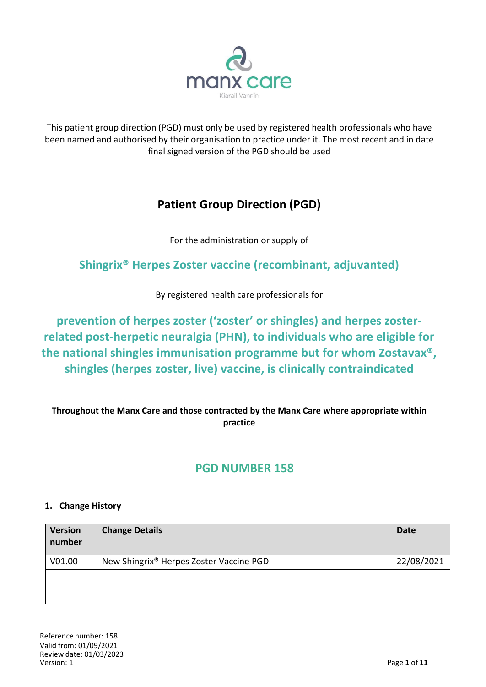

This patient group direction (PGD) must only be used by registered health professionals who have been named and authorised by their organisation to practice under it. The most recent and in date final signed version of the PGD should be used

# **Patient Group Direction (PGD)**

For the administration or supply of

# **Shingrix® Herpes Zoster vaccine (recombinant, adjuvanted)**

By registered health care professionals for

**prevention of herpes zoster ('zoster' or shingles) and herpes zosterrelated post-herpetic neuralgia (PHN), to individuals who are eligible for the national shingles immunisation programme but for whom Zostavax®, shingles (herpes zoster, live) vaccine, is clinically contraindicated**

## **Throughout the Manx Care and those contracted by the Manx Care where appropriate within practice**

## **PGD NUMBER 158**

### **1. Change History**

| <b>Version</b><br>number | <b>Change Details</b>                   | Date       |
|--------------------------|-----------------------------------------|------------|
| V01.00                   | New Shingrix® Herpes Zoster Vaccine PGD | 22/08/2021 |
|                          |                                         |            |
|                          |                                         |            |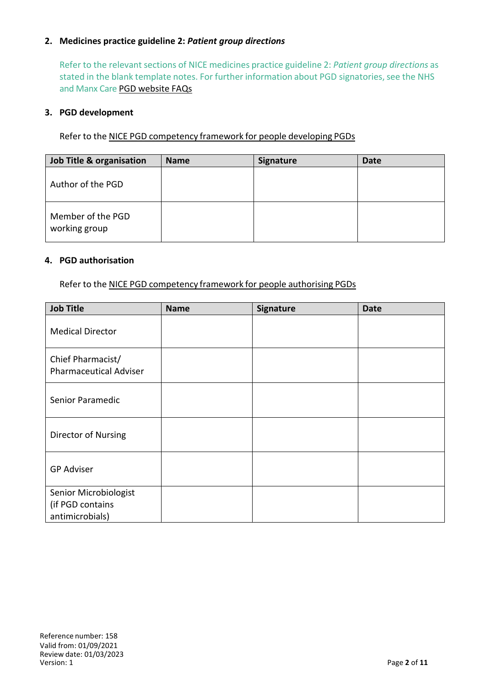#### **2. Medicines practice guideline 2:** *Patient group directions*

Refer to the relevant sections of NICE medicines practice guideline 2: *Patient group directions* as stated in the blank template notes. For further information about PGD signatories, see the NHS and Manx Care PGD website FAQs

#### **3. PGD development**

Refer to the NICE PGD competency framework for people developing PGDs

| <b>Job Title &amp; organisation</b> | <b>Name</b> | <b>Signature</b> | Date |
|-------------------------------------|-------------|------------------|------|
| Author of the PGD                   |             |                  |      |
| Member of the PGD<br>working group  |             |                  |      |

#### **4. PGD authorisation**

Refer to the NICE PGD competency framework for people authorising PGDs

| <b>Job Title</b>                                             | <b>Name</b> | Signature | <b>Date</b> |
|--------------------------------------------------------------|-------------|-----------|-------------|
| <b>Medical Director</b>                                      |             |           |             |
| Chief Pharmacist/<br><b>Pharmaceutical Adviser</b>           |             |           |             |
| Senior Paramedic                                             |             |           |             |
| Director of Nursing                                          |             |           |             |
| <b>GP Adviser</b>                                            |             |           |             |
| Senior Microbiologist<br>(if PGD contains<br>antimicrobials) |             |           |             |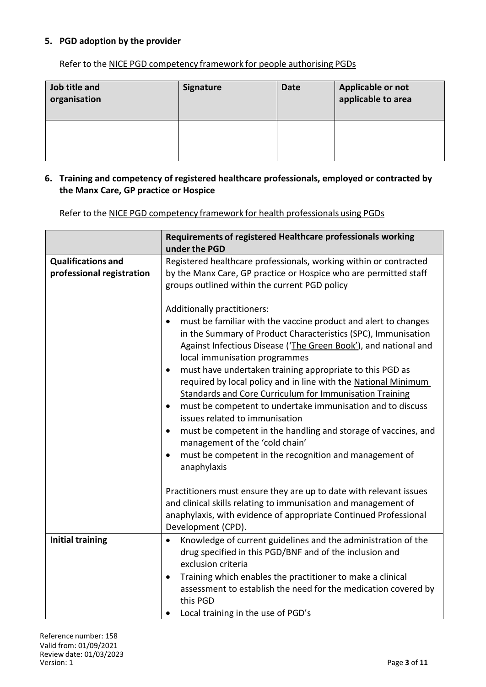#### **5. PGD adoption by the provider**

Refer to the NICE PGD competency framework for people authorising PGDs

| Job title and<br>organisation | <b>Signature</b> | <b>Date</b> | Applicable or not<br>applicable to area |
|-------------------------------|------------------|-------------|-----------------------------------------|
|                               |                  |             |                                         |

#### **6. Training and competency of registered healthcare professionals, employed or contracted by the Manx Care, GP practice or Hospice**

Refer to the NICE PGD competency framework for health professionals using PGDs

|                                                        | Requirements of registered Healthcare professionals working<br>under the PGD                                                                                                                                                                                                                                                                                                                                                                                                                                                                                                                                                                                                                                                                                              |
|--------------------------------------------------------|---------------------------------------------------------------------------------------------------------------------------------------------------------------------------------------------------------------------------------------------------------------------------------------------------------------------------------------------------------------------------------------------------------------------------------------------------------------------------------------------------------------------------------------------------------------------------------------------------------------------------------------------------------------------------------------------------------------------------------------------------------------------------|
| <b>Qualifications and</b><br>professional registration | Registered healthcare professionals, working within or contracted<br>by the Manx Care, GP practice or Hospice who are permitted staff<br>groups outlined within the current PGD policy                                                                                                                                                                                                                                                                                                                                                                                                                                                                                                                                                                                    |
|                                                        | Additionally practitioners:<br>must be familiar with the vaccine product and alert to changes<br>in the Summary of Product Characteristics (SPC), Immunisation<br>Against Infectious Disease ('The Green Book'), and national and<br>local immunisation programmes<br>must have undertaken training appropriate to this PGD as<br>required by local policy and in line with the National Minimum<br><b>Standards and Core Curriculum for Immunisation Training</b><br>must be competent to undertake immunisation and to discuss<br>issues related to immunisation<br>must be competent in the handling and storage of vaccines, and<br>$\bullet$<br>management of the 'cold chain'<br>must be competent in the recognition and management of<br>$\bullet$<br>anaphylaxis |
|                                                        | Practitioners must ensure they are up to date with relevant issues<br>and clinical skills relating to immunisation and management of<br>anaphylaxis, with evidence of appropriate Continued Professional<br>Development (CPD).                                                                                                                                                                                                                                                                                                                                                                                                                                                                                                                                            |
| <b>Initial training</b>                                | Knowledge of current guidelines and the administration of the<br>$\bullet$<br>drug specified in this PGD/BNF and of the inclusion and<br>exclusion criteria<br>Training which enables the practitioner to make a clinical<br>assessment to establish the need for the medication covered by<br>this PGD<br>Local training in the use of PGD's                                                                                                                                                                                                                                                                                                                                                                                                                             |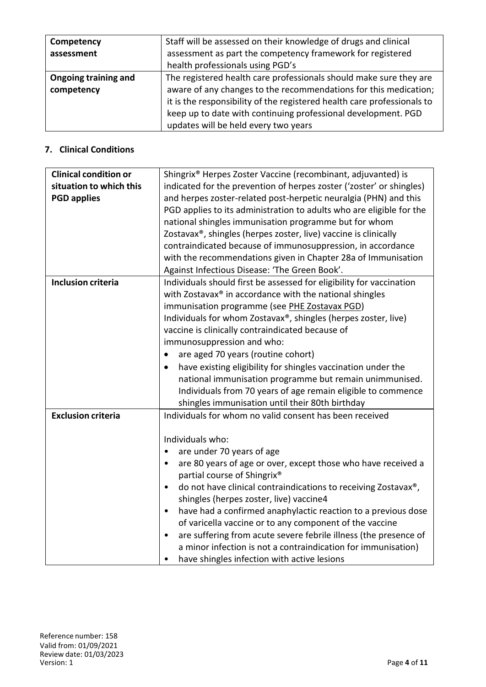| Competency<br>assessment           | Staff will be assessed on their knowledge of drugs and clinical<br>assessment as part the competency framework for registered<br>health professionals using PGD's                                                                                                                                                          |
|------------------------------------|----------------------------------------------------------------------------------------------------------------------------------------------------------------------------------------------------------------------------------------------------------------------------------------------------------------------------|
| Ongoing training and<br>competency | The registered health care professionals should make sure they are<br>aware of any changes to the recommendations for this medication;<br>it is the responsibility of the registered health care professionals to<br>keep up to date with continuing professional development. PGD<br>updates will be held every two years |

### **7. Clinical Conditions**

| <b>Clinical condition or</b><br>Shingrix <sup>®</sup> Herpes Zoster Vaccine (recombinant, adjuvanted) is<br>situation to which this<br>indicated for the prevention of herpes zoster ('zoster' or shingles)<br><b>PGD applies</b><br>and herpes zoster-related post-herpetic neuralgia (PHN) and this<br>PGD applies to its administration to adults who are eligible for the<br>national shingles immunisation programme but for whom<br>Zostavax®, shingles (herpes zoster, live) vaccine is clinically<br>contraindicated because of immunosuppression, in accordance<br>with the recommendations given in Chapter 28a of Immunisation<br>Against Infectious Disease: 'The Green Book'.<br><b>Inclusion criteria</b><br>Individuals should first be assessed for eligibility for vaccination<br>with Zostavax® in accordance with the national shingles<br>immunisation programme (see PHE Zostavax PGD)<br>Individuals for whom Zostavax®, shingles (herpes zoster, live)<br>vaccine is clinically contraindicated because of<br>immunosuppression and who:<br>are aged 70 years (routine cohort)<br>$\bullet$<br>have existing eligibility for shingles vaccination under the<br>٠<br>national immunisation programme but remain unimmunised.<br>Individuals from 70 years of age remain eligible to commence<br>shingles immunisation until their 80th birthday<br><b>Exclusion criteria</b><br>Individuals for whom no valid consent has been received<br>Individuals who:<br>are under 70 years of age<br>$\bullet$<br>are 80 years of age or over, except those who have received a<br>$\bullet$<br>partial course of Shingrix®<br>do not have clinical contraindications to receiving Zostavax®,<br>$\bullet$<br>shingles (herpes zoster, live) vaccine4<br>have had a confirmed anaphylactic reaction to a previous dose<br>$\bullet$<br>of varicella vaccine or to any component of the vaccine<br>are suffering from acute severe febrile illness (the presence of<br>$\bullet$<br>a minor infection is not a contraindication for immunisation) |                                             |
|---------------------------------------------------------------------------------------------------------------------------------------------------------------------------------------------------------------------------------------------------------------------------------------------------------------------------------------------------------------------------------------------------------------------------------------------------------------------------------------------------------------------------------------------------------------------------------------------------------------------------------------------------------------------------------------------------------------------------------------------------------------------------------------------------------------------------------------------------------------------------------------------------------------------------------------------------------------------------------------------------------------------------------------------------------------------------------------------------------------------------------------------------------------------------------------------------------------------------------------------------------------------------------------------------------------------------------------------------------------------------------------------------------------------------------------------------------------------------------------------------------------------------------------------------------------------------------------------------------------------------------------------------------------------------------------------------------------------------------------------------------------------------------------------------------------------------------------------------------------------------------------------------------------------------------------------------------------------------------------------------------------------------------------------------------------|---------------------------------------------|
|                                                                                                                                                                                                                                                                                                                                                                                                                                                                                                                                                                                                                                                                                                                                                                                                                                                                                                                                                                                                                                                                                                                                                                                                                                                                                                                                                                                                                                                                                                                                                                                                                                                                                                                                                                                                                                                                                                                                                                                                                                                               |                                             |
|                                                                                                                                                                                                                                                                                                                                                                                                                                                                                                                                                                                                                                                                                                                                                                                                                                                                                                                                                                                                                                                                                                                                                                                                                                                                                                                                                                                                                                                                                                                                                                                                                                                                                                                                                                                                                                                                                                                                                                                                                                                               |                                             |
|                                                                                                                                                                                                                                                                                                                                                                                                                                                                                                                                                                                                                                                                                                                                                                                                                                                                                                                                                                                                                                                                                                                                                                                                                                                                                                                                                                                                                                                                                                                                                                                                                                                                                                                                                                                                                                                                                                                                                                                                                                                               |                                             |
|                                                                                                                                                                                                                                                                                                                                                                                                                                                                                                                                                                                                                                                                                                                                                                                                                                                                                                                                                                                                                                                                                                                                                                                                                                                                                                                                                                                                                                                                                                                                                                                                                                                                                                                                                                                                                                                                                                                                                                                                                                                               |                                             |
|                                                                                                                                                                                                                                                                                                                                                                                                                                                                                                                                                                                                                                                                                                                                                                                                                                                                                                                                                                                                                                                                                                                                                                                                                                                                                                                                                                                                                                                                                                                                                                                                                                                                                                                                                                                                                                                                                                                                                                                                                                                               |                                             |
|                                                                                                                                                                                                                                                                                                                                                                                                                                                                                                                                                                                                                                                                                                                                                                                                                                                                                                                                                                                                                                                                                                                                                                                                                                                                                                                                                                                                                                                                                                                                                                                                                                                                                                                                                                                                                                                                                                                                                                                                                                                               |                                             |
|                                                                                                                                                                                                                                                                                                                                                                                                                                                                                                                                                                                                                                                                                                                                                                                                                                                                                                                                                                                                                                                                                                                                                                                                                                                                                                                                                                                                                                                                                                                                                                                                                                                                                                                                                                                                                                                                                                                                                                                                                                                               |                                             |
|                                                                                                                                                                                                                                                                                                                                                                                                                                                                                                                                                                                                                                                                                                                                                                                                                                                                                                                                                                                                                                                                                                                                                                                                                                                                                                                                                                                                                                                                                                                                                                                                                                                                                                                                                                                                                                                                                                                                                                                                                                                               |                                             |
|                                                                                                                                                                                                                                                                                                                                                                                                                                                                                                                                                                                                                                                                                                                                                                                                                                                                                                                                                                                                                                                                                                                                                                                                                                                                                                                                                                                                                                                                                                                                                                                                                                                                                                                                                                                                                                                                                                                                                                                                                                                               |                                             |
|                                                                                                                                                                                                                                                                                                                                                                                                                                                                                                                                                                                                                                                                                                                                                                                                                                                                                                                                                                                                                                                                                                                                                                                                                                                                                                                                                                                                                                                                                                                                                                                                                                                                                                                                                                                                                                                                                                                                                                                                                                                               |                                             |
|                                                                                                                                                                                                                                                                                                                                                                                                                                                                                                                                                                                                                                                                                                                                                                                                                                                                                                                                                                                                                                                                                                                                                                                                                                                                                                                                                                                                                                                                                                                                                                                                                                                                                                                                                                                                                                                                                                                                                                                                                                                               |                                             |
|                                                                                                                                                                                                                                                                                                                                                                                                                                                                                                                                                                                                                                                                                                                                                                                                                                                                                                                                                                                                                                                                                                                                                                                                                                                                                                                                                                                                                                                                                                                                                                                                                                                                                                                                                                                                                                                                                                                                                                                                                                                               |                                             |
|                                                                                                                                                                                                                                                                                                                                                                                                                                                                                                                                                                                                                                                                                                                                                                                                                                                                                                                                                                                                                                                                                                                                                                                                                                                                                                                                                                                                                                                                                                                                                                                                                                                                                                                                                                                                                                                                                                                                                                                                                                                               |                                             |
|                                                                                                                                                                                                                                                                                                                                                                                                                                                                                                                                                                                                                                                                                                                                                                                                                                                                                                                                                                                                                                                                                                                                                                                                                                                                                                                                                                                                                                                                                                                                                                                                                                                                                                                                                                                                                                                                                                                                                                                                                                                               |                                             |
|                                                                                                                                                                                                                                                                                                                                                                                                                                                                                                                                                                                                                                                                                                                                                                                                                                                                                                                                                                                                                                                                                                                                                                                                                                                                                                                                                                                                                                                                                                                                                                                                                                                                                                                                                                                                                                                                                                                                                                                                                                                               |                                             |
|                                                                                                                                                                                                                                                                                                                                                                                                                                                                                                                                                                                                                                                                                                                                                                                                                                                                                                                                                                                                                                                                                                                                                                                                                                                                                                                                                                                                                                                                                                                                                                                                                                                                                                                                                                                                                                                                                                                                                                                                                                                               |                                             |
|                                                                                                                                                                                                                                                                                                                                                                                                                                                                                                                                                                                                                                                                                                                                                                                                                                                                                                                                                                                                                                                                                                                                                                                                                                                                                                                                                                                                                                                                                                                                                                                                                                                                                                                                                                                                                                                                                                                                                                                                                                                               |                                             |
|                                                                                                                                                                                                                                                                                                                                                                                                                                                                                                                                                                                                                                                                                                                                                                                                                                                                                                                                                                                                                                                                                                                                                                                                                                                                                                                                                                                                                                                                                                                                                                                                                                                                                                                                                                                                                                                                                                                                                                                                                                                               |                                             |
|                                                                                                                                                                                                                                                                                                                                                                                                                                                                                                                                                                                                                                                                                                                                                                                                                                                                                                                                                                                                                                                                                                                                                                                                                                                                                                                                                                                                                                                                                                                                                                                                                                                                                                                                                                                                                                                                                                                                                                                                                                                               |                                             |
|                                                                                                                                                                                                                                                                                                                                                                                                                                                                                                                                                                                                                                                                                                                                                                                                                                                                                                                                                                                                                                                                                                                                                                                                                                                                                                                                                                                                                                                                                                                                                                                                                                                                                                                                                                                                                                                                                                                                                                                                                                                               |                                             |
|                                                                                                                                                                                                                                                                                                                                                                                                                                                                                                                                                                                                                                                                                                                                                                                                                                                                                                                                                                                                                                                                                                                                                                                                                                                                                                                                                                                                                                                                                                                                                                                                                                                                                                                                                                                                                                                                                                                                                                                                                                                               |                                             |
|                                                                                                                                                                                                                                                                                                                                                                                                                                                                                                                                                                                                                                                                                                                                                                                                                                                                                                                                                                                                                                                                                                                                                                                                                                                                                                                                                                                                                                                                                                                                                                                                                                                                                                                                                                                                                                                                                                                                                                                                                                                               |                                             |
|                                                                                                                                                                                                                                                                                                                                                                                                                                                                                                                                                                                                                                                                                                                                                                                                                                                                                                                                                                                                                                                                                                                                                                                                                                                                                                                                                                                                                                                                                                                                                                                                                                                                                                                                                                                                                                                                                                                                                                                                                                                               |                                             |
|                                                                                                                                                                                                                                                                                                                                                                                                                                                                                                                                                                                                                                                                                                                                                                                                                                                                                                                                                                                                                                                                                                                                                                                                                                                                                                                                                                                                                                                                                                                                                                                                                                                                                                                                                                                                                                                                                                                                                                                                                                                               |                                             |
|                                                                                                                                                                                                                                                                                                                                                                                                                                                                                                                                                                                                                                                                                                                                                                                                                                                                                                                                                                                                                                                                                                                                                                                                                                                                                                                                                                                                                                                                                                                                                                                                                                                                                                                                                                                                                                                                                                                                                                                                                                                               |                                             |
|                                                                                                                                                                                                                                                                                                                                                                                                                                                                                                                                                                                                                                                                                                                                                                                                                                                                                                                                                                                                                                                                                                                                                                                                                                                                                                                                                                                                                                                                                                                                                                                                                                                                                                                                                                                                                                                                                                                                                                                                                                                               |                                             |
|                                                                                                                                                                                                                                                                                                                                                                                                                                                                                                                                                                                                                                                                                                                                                                                                                                                                                                                                                                                                                                                                                                                                                                                                                                                                                                                                                                                                                                                                                                                                                                                                                                                                                                                                                                                                                                                                                                                                                                                                                                                               |                                             |
|                                                                                                                                                                                                                                                                                                                                                                                                                                                                                                                                                                                                                                                                                                                                                                                                                                                                                                                                                                                                                                                                                                                                                                                                                                                                                                                                                                                                                                                                                                                                                                                                                                                                                                                                                                                                                                                                                                                                                                                                                                                               |                                             |
|                                                                                                                                                                                                                                                                                                                                                                                                                                                                                                                                                                                                                                                                                                                                                                                                                                                                                                                                                                                                                                                                                                                                                                                                                                                                                                                                                                                                                                                                                                                                                                                                                                                                                                                                                                                                                                                                                                                                                                                                                                                               |                                             |
|                                                                                                                                                                                                                                                                                                                                                                                                                                                                                                                                                                                                                                                                                                                                                                                                                                                                                                                                                                                                                                                                                                                                                                                                                                                                                                                                                                                                                                                                                                                                                                                                                                                                                                                                                                                                                                                                                                                                                                                                                                                               |                                             |
|                                                                                                                                                                                                                                                                                                                                                                                                                                                                                                                                                                                                                                                                                                                                                                                                                                                                                                                                                                                                                                                                                                                                                                                                                                                                                                                                                                                                                                                                                                                                                                                                                                                                                                                                                                                                                                                                                                                                                                                                                                                               |                                             |
|                                                                                                                                                                                                                                                                                                                                                                                                                                                                                                                                                                                                                                                                                                                                                                                                                                                                                                                                                                                                                                                                                                                                                                                                                                                                                                                                                                                                                                                                                                                                                                                                                                                                                                                                                                                                                                                                                                                                                                                                                                                               |                                             |
|                                                                                                                                                                                                                                                                                                                                                                                                                                                                                                                                                                                                                                                                                                                                                                                                                                                                                                                                                                                                                                                                                                                                                                                                                                                                                                                                                                                                                                                                                                                                                                                                                                                                                                                                                                                                                                                                                                                                                                                                                                                               |                                             |
|                                                                                                                                                                                                                                                                                                                                                                                                                                                                                                                                                                                                                                                                                                                                                                                                                                                                                                                                                                                                                                                                                                                                                                                                                                                                                                                                                                                                                                                                                                                                                                                                                                                                                                                                                                                                                                                                                                                                                                                                                                                               | have shingles infection with active lesions |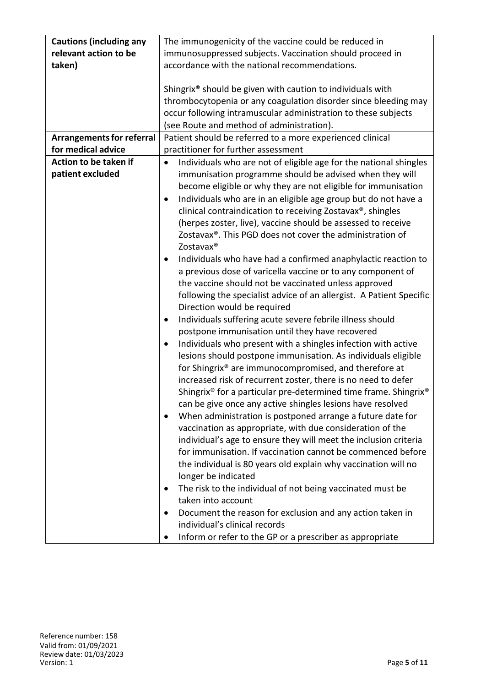| <b>Cautions (including any</b>   | The immunogenicity of the vaccine could be reduced in                          |
|----------------------------------|--------------------------------------------------------------------------------|
| relevant action to be            | immunosuppressed subjects. Vaccination should proceed in                       |
| taken)                           | accordance with the national recommendations.                                  |
|                                  |                                                                                |
|                                  | Shingrix <sup>®</sup> should be given with caution to individuals with         |
|                                  | thrombocytopenia or any coagulation disorder since bleeding may                |
|                                  | occur following intramuscular administration to these subjects                 |
|                                  | (see Route and method of administration).                                      |
| <b>Arrangements for referral</b> | Patient should be referred to a more experienced clinical                      |
| for medical advice               | practitioner for further assessment                                            |
| Action to be taken if            |                                                                                |
|                                  | Individuals who are not of eligible age for the national shingles<br>$\bullet$ |
| patient excluded                 | immunisation programme should be advised when they will                        |
|                                  | become eligible or why they are not eligible for immunisation                  |
|                                  | Individuals who are in an eligible age group but do not have a                 |
|                                  | clinical contraindication to receiving Zostavax®, shingles                     |
|                                  | (herpes zoster, live), vaccine should be assessed to receive                   |
|                                  | Zostavax <sup>®</sup> . This PGD does not cover the administration of          |
|                                  | Zostavax®                                                                      |
|                                  | Individuals who have had a confirmed anaphylactic reaction to<br>$\bullet$     |
|                                  | a previous dose of varicella vaccine or to any component of                    |
|                                  | the vaccine should not be vaccinated unless approved                           |
|                                  | following the specialist advice of an allergist. A Patient Specific            |
|                                  | Direction would be required                                                    |
|                                  | Individuals suffering acute severe febrile illness should<br>$\bullet$         |
|                                  | postpone immunisation until they have recovered                                |
|                                  | Individuals who present with a shingles infection with active<br>$\bullet$     |
|                                  | lesions should postpone immunisation. As individuals eligible                  |
|                                  | for Shingrix® are immunocompromised, and therefore at                          |
|                                  | increased risk of recurrent zoster, there is no need to defer                  |
|                                  | Shingrix® for a particular pre-determined time frame. Shingrix®                |
|                                  | can be give once any active shingles lesions have resolved                     |
|                                  |                                                                                |
|                                  | When administration is postponed arrange a future date for<br>$\bullet$        |
|                                  | vaccination as appropriate, with due consideration of the                      |
|                                  | individual's age to ensure they will meet the inclusion criteria               |
|                                  | for immunisation. If vaccination cannot be commenced before                    |
|                                  | the individual is 80 years old explain why vaccination will no                 |
|                                  | longer be indicated                                                            |
|                                  | The risk to the individual of not being vaccinated must be                     |
|                                  | taken into account                                                             |
|                                  | Document the reason for exclusion and any action taken in                      |
|                                  | individual's clinical records                                                  |
|                                  | Inform or refer to the GP or a prescriber as appropriate                       |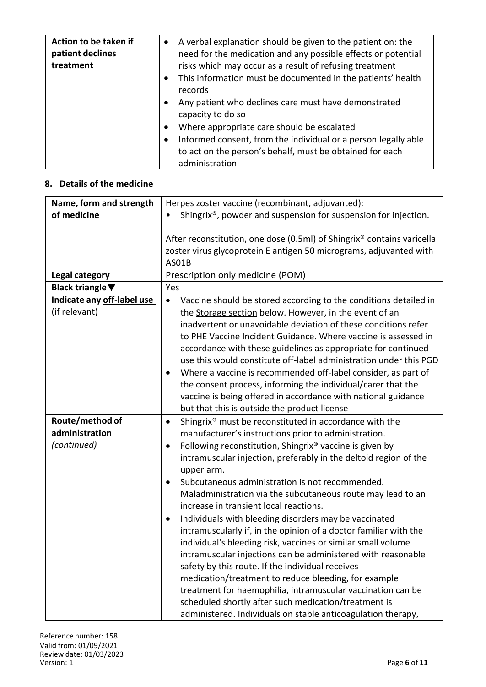| Action to be taken if<br>patient declines<br>treatment | A verbal explanation should be given to the patient on: the<br>$\bullet$<br>need for the medication and any possible effects or potential<br>risks which may occur as a result of refusing treatment<br>This information must be documented in the patients' health<br>$\bullet$<br>records<br>Any patient who declines care must have demonstrated<br>$\bullet$<br>capacity to do so<br>Where appropriate care should be escalated<br>$\bullet$<br>Informed consent, from the individual or a person legally able<br>to act on the person's behalf, must be obtained for each |
|--------------------------------------------------------|--------------------------------------------------------------------------------------------------------------------------------------------------------------------------------------------------------------------------------------------------------------------------------------------------------------------------------------------------------------------------------------------------------------------------------------------------------------------------------------------------------------------------------------------------------------------------------|
|                                                        | administration                                                                                                                                                                                                                                                                                                                                                                                                                                                                                                                                                                 |

### **8. Details of the medicine**

| Name, form and strength             | Herpes zoster vaccine (recombinant, adjuvanted):                              |
|-------------------------------------|-------------------------------------------------------------------------------|
| of medicine                         | Shingrix®, powder and suspension for suspension for injection.                |
|                                     |                                                                               |
|                                     | After reconstitution, one dose (0.5ml) of Shingrix® contains varicella        |
|                                     | zoster virus glycoprotein E antigen 50 micrograms, adjuvanted with            |
|                                     | AS01B                                                                         |
| Legal category                      | Prescription only medicine (POM)                                              |
| Black triangle $\blacktriangledown$ | Yes                                                                           |
| Indicate any off-label use          | Vaccine should be stored according to the conditions detailed in<br>$\bullet$ |
| (if relevant)                       | the Storage section below. However, in the event of an                        |
|                                     | inadvertent or unavoidable deviation of these conditions refer                |
|                                     | to PHE Vaccine Incident Guidance. Where vaccine is assessed in                |
|                                     | accordance with these guidelines as appropriate for continued                 |
|                                     | use this would constitute off-label administration under this PGD             |
|                                     | Where a vaccine is recommended off-label consider, as part of                 |
|                                     | the consent process, informing the individual/carer that the                  |
|                                     | vaccine is being offered in accordance with national guidance                 |
|                                     | but that this is outside the product license                                  |
| Route/method of                     | Shingrix® must be reconstituted in accordance with the<br>$\bullet$           |
| administration                      | manufacturer's instructions prior to administration.                          |
| (continued)                         | Following reconstitution, Shingrix® vaccine is given by<br>$\bullet$          |
|                                     | intramuscular injection, preferably in the deltoid region of the              |
|                                     | upper arm.                                                                    |
|                                     | Subcutaneous administration is not recommended.<br>$\bullet$                  |
|                                     | Maladministration via the subcutaneous route may lead to an                   |
|                                     | increase in transient local reactions.                                        |
|                                     | Individuals with bleeding disorders may be vaccinated                         |
|                                     | intramuscularly if, in the opinion of a doctor familiar with the              |
|                                     | individual's bleeding risk, vaccines or similar small volume                  |
|                                     | intramuscular injections can be administered with reasonable                  |
|                                     | safety by this route. If the individual receives                              |
|                                     | medication/treatment to reduce bleeding, for example                          |
|                                     | treatment for haemophilia, intramuscular vaccination can be                   |
|                                     | scheduled shortly after such medication/treatment is                          |
|                                     | administered. Individuals on stable anticoagulation therapy,                  |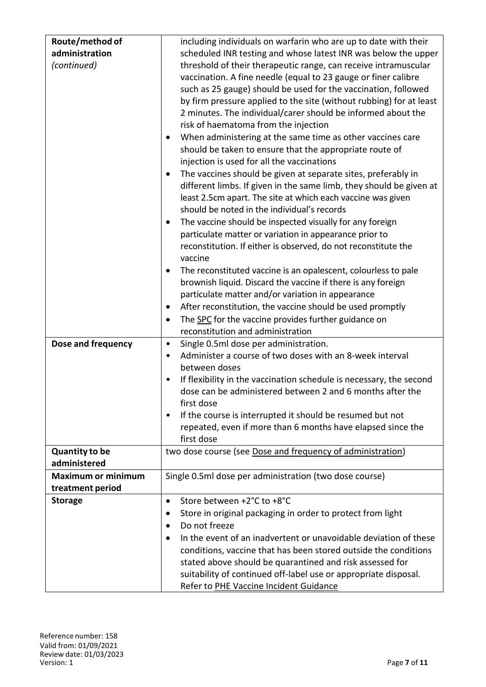| Route/method of           | including individuals on warfarin who are up to date with their       |
|---------------------------|-----------------------------------------------------------------------|
| administration            | scheduled INR testing and whose latest INR was below the upper        |
| (continued)               | threshold of their therapeutic range, can receive intramuscular       |
|                           | vaccination. A fine needle (equal to 23 gauge or finer calibre        |
|                           | such as 25 gauge) should be used for the vaccination, followed        |
|                           | by firm pressure applied to the site (without rubbing) for at least   |
|                           | 2 minutes. The individual/carer should be informed about the          |
|                           | risk of haematoma from the injection                                  |
|                           | When administering at the same time as other vaccines care            |
|                           | should be taken to ensure that the appropriate route of               |
|                           | injection is used for all the vaccinations                            |
|                           | The vaccines should be given at separate sites, preferably in         |
|                           | different limbs. If given in the same limb, they should be given at   |
|                           | least 2.5cm apart. The site at which each vaccine was given           |
|                           | should be noted in the individual's records                           |
|                           | The vaccine should be inspected visually for any foreign<br>٠         |
|                           | particulate matter or variation in appearance prior to                |
|                           | reconstitution. If either is observed, do not reconstitute the        |
|                           | vaccine                                                               |
|                           | The reconstituted vaccine is an opalescent, colourless to pale        |
|                           | brownish liquid. Discard the vaccine if there is any foreign          |
|                           | particulate matter and/or variation in appearance                     |
|                           | After reconstitution, the vaccine should be used promptly<br>٠        |
|                           | The SPC for the vaccine provides further guidance on                  |
|                           | reconstitution and administration                                     |
| Dose and frequency        | Single 0.5ml dose per administration.<br>$\bullet$                    |
|                           | Administer a course of two doses with an 8-week interval<br>$\bullet$ |
|                           | between doses                                                         |
|                           | If flexibility in the vaccination schedule is necessary, the second   |
|                           | dose can be administered between 2 and 6 months after the             |
|                           | first dose                                                            |
|                           | If the course is interrupted it should be resumed but not             |
|                           | repeated, even if more than 6 months have elapsed since the           |
|                           | first dose                                                            |
| <b>Quantity to be</b>     | two dose course (see Dose and frequency of administration)            |
| administered              |                                                                       |
| <b>Maximum or minimum</b> | Single 0.5ml dose per administration (two dose course)                |
| treatment period          |                                                                       |
| <b>Storage</b>            | Store between +2°C to +8°C<br>$\bullet$                               |
|                           | Store in original packaging in order to protect from light            |
|                           | Do not freeze<br>$\bullet$                                            |
|                           | In the event of an inadvertent or unavoidable deviation of these      |
|                           | conditions, vaccine that has been stored outside the conditions       |
|                           | stated above should be quarantined and risk assessed for              |
|                           | suitability of continued off-label use or appropriate disposal.       |
|                           | Refer to PHE Vaccine Incident Guidance                                |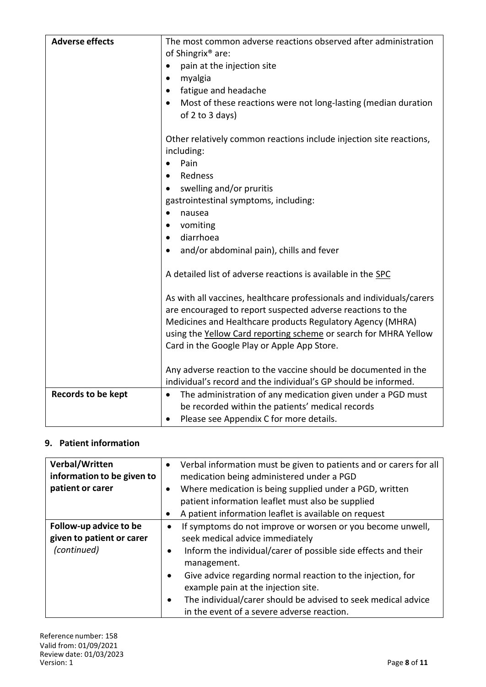| <b>Adverse effects</b> | The most common adverse reactions observed after administration          |
|------------------------|--------------------------------------------------------------------------|
|                        | of Shingrix <sup>®</sup> are:                                            |
|                        | pain at the injection site<br>٠                                          |
|                        | myalgia<br>$\bullet$                                                     |
|                        | fatigue and headache<br>$\bullet$                                        |
|                        | Most of these reactions were not long-lasting (median duration           |
|                        | of 2 to 3 days)                                                          |
|                        | Other relatively common reactions include injection site reactions,      |
|                        | including:                                                               |
|                        | Pain<br>$\bullet$                                                        |
|                        | Redness                                                                  |
|                        | swelling and/or pruritis                                                 |
|                        | gastrointestinal symptoms, including:                                    |
|                        | nausea<br>$\bullet$                                                      |
|                        | vomiting<br>$\bullet$                                                    |
|                        | diarrhoea<br>$\bullet$                                                   |
|                        | and/or abdominal pain), chills and fever                                 |
|                        | A detailed list of adverse reactions is available in the SPC             |
|                        | As with all vaccines, healthcare professionals and individuals/carers    |
|                        | are encouraged to report suspected adverse reactions to the              |
|                        | Medicines and Healthcare products Regulatory Agency (MHRA)               |
|                        | using the Yellow Card reporting scheme or search for MHRA Yellow         |
|                        | Card in the Google Play or Apple App Store.                              |
|                        | Any adverse reaction to the vaccine should be documented in the          |
|                        | individual's record and the individual's GP should be informed.          |
| Records to be kept     | The administration of any medication given under a PGD must<br>$\bullet$ |
|                        | be recorded within the patients' medical records                         |
|                        | Please see Appendix C for more details.<br>$\bullet$                     |

## **9. Patient information**

| Verbal/Written<br>information to be given to<br>patient or carer   | Verbal information must be given to patients and or carers for all<br>٠<br>medication being administered under a PGD<br>Where medication is being supplied under a PGD, written<br>$\bullet$<br>patient information leaflet must also be supplied                                                                                                                                                                                               |
|--------------------------------------------------------------------|-------------------------------------------------------------------------------------------------------------------------------------------------------------------------------------------------------------------------------------------------------------------------------------------------------------------------------------------------------------------------------------------------------------------------------------------------|
|                                                                    | A patient information leaflet is available on request<br>٠                                                                                                                                                                                                                                                                                                                                                                                      |
| Follow-up advice to be<br>given to patient or carer<br>(continued) | If symptoms do not improve or worsen or you become unwell,<br>٠<br>seek medical advice immediately<br>Inform the individual/carer of possible side effects and their<br>$\bullet$<br>management.<br>Give advice regarding normal reaction to the injection, for<br>$\bullet$<br>example pain at the injection site.<br>The individual/carer should be advised to seek medical advice<br>$\bullet$<br>in the event of a severe adverse reaction. |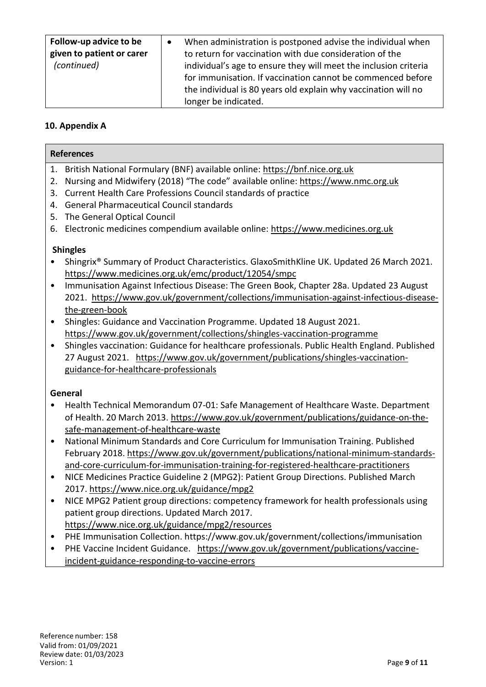| Follow-up advice to be<br>given to patient or carer<br>(continued) | When administration is postponed advise the individual when<br>to return for vaccination with due consideration of the<br>individual's age to ensure they will meet the inclusion criteria<br>for immunisation. If vaccination cannot be commenced before<br>the individual is 80 years old explain why vaccination will no<br>longer be indicated. |
|--------------------------------------------------------------------|-----------------------------------------------------------------------------------------------------------------------------------------------------------------------------------------------------------------------------------------------------------------------------------------------------------------------------------------------------|
|--------------------------------------------------------------------|-----------------------------------------------------------------------------------------------------------------------------------------------------------------------------------------------------------------------------------------------------------------------------------------------------------------------------------------------------|

## **10. Appendix A**

| <b>References</b> |                                                                                               |  |
|-------------------|-----------------------------------------------------------------------------------------------|--|
|                   | 1. British National Formulary (BNF) available online: https://bnf.nice.org.uk                 |  |
| 2.                | Nursing and Midwifery (2018) "The code" available online: https://www.nmc.org.uk              |  |
| 3.                | Current Health Care Professions Council standards of practice                                 |  |
| 4.                | <b>General Pharmaceutical Council standards</b>                                               |  |
| 5.                | The General Optical Council                                                                   |  |
|                   | 6. Electronic medicines compendium available online: https://www.medicines.org.uk             |  |
|                   | <b>Shingles</b>                                                                               |  |
|                   | Shingrix® Summary of Product Characteristics. GlaxoSmithKline UK. Updated 26 March 2021.      |  |
|                   | https://www.medicines.org.uk/emc/product/12054/smpc                                           |  |
| $\bullet$         | Immunisation Against Infectious Disease: The Green Book, Chapter 28a. Updated 23 August       |  |
|                   | 2021. https://www.gov.uk/government/collections/immunisation-against-infectious-disease-      |  |
|                   | the-green-book                                                                                |  |
| ٠                 | Shingles: Guidance and Vaccination Programme. Updated 18 August 2021.                         |  |
|                   | https://www.gov.uk/government/collections/shingles-vaccination-programme                      |  |
| $\bullet$         | Shingles vaccination: Guidance for healthcare professionals. Public Health England. Published |  |
|                   | 27 August 2021. https://www.gov.uk/government/publications/shingles-vaccination-              |  |
|                   | guidance-for-healthcare-professionals                                                         |  |
|                   |                                                                                               |  |
|                   | General                                                                                       |  |
|                   | Health Technical Memorandum 07-01: Safe Management of Healthcare Waste. Department            |  |
|                   | of Health. 20 March 2013. https://www.gov.uk/government/publications/guidance-on-the-         |  |
|                   | safe-management-of-healthcare-waste                                                           |  |
| $\bullet$         | National Minimum Standards and Core Curriculum for Immunisation Training. Published           |  |
|                   | February 2018. https://www.gov.uk/government/publications/national-minimum-standards-         |  |
|                   | and-core-curriculum-for-immunisation-training-for-registered-healthcare-practitioners         |  |
| $\bullet$         | NICE Medicines Practice Guideline 2 (MPG2): Patient Group Directions. Published March         |  |
|                   | 2017. https://www.nice.org.uk/guidance/mpg2                                                   |  |
| $\bullet$         | NICE MPG2 Patient group directions: competency framework for health professionals using       |  |
|                   | patient group directions. Updated March 2017.                                                 |  |
|                   | https://www.nice.org.uk/guidance/mpg2/resources                                               |  |
|                   | PHE Immunisation Collection. https://www.gov.uk/government/collections/immunisation           |  |
| $\bullet$         | PHE Vaccine Incident Guidance. https://www.gov.uk/government/publications/vaccine-            |  |
|                   | incident-guidance-responding-to-vaccine-errors                                                |  |
|                   |                                                                                               |  |
|                   |                                                                                               |  |
|                   |                                                                                               |  |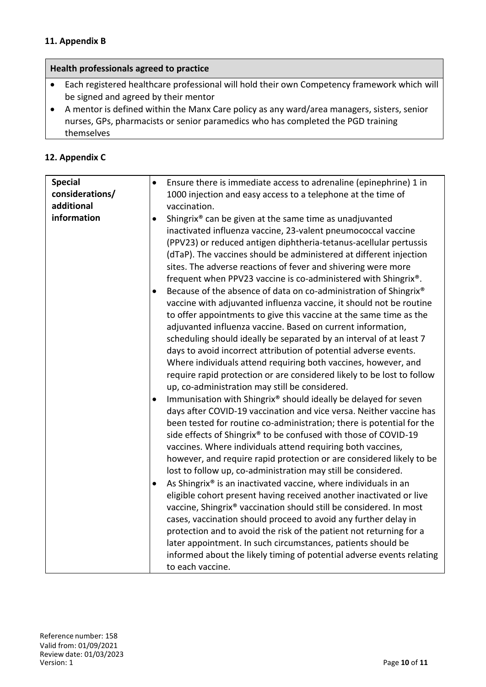#### **11. Appendix B**

#### **Health professionals agreed to practice**

- Each registered healthcare professional will hold their own Competency framework which will be signed and agreed by their mentor
- A mentor is defined within the Manx Care policy as any ward/area managers, sisters, senior nurses, GPs, pharmacists or senior paramedics who has completed the PGD training themselves

#### **12. Appendix C**

| <b>Special</b>  | Ensure there is immediate access to adrenaline (epinephrine) 1 in<br>$\bullet$                                                                                                                                                                                                                                                                                                                                                                                                                                                                                                                                                                                                                                                                                                                                                                                                                                                                                                                                                                                                                                                                                                                                                                                                                                                                                                                                                                                                                                                                                                                                                                                                                                                                                                                                                                  |
|-----------------|-------------------------------------------------------------------------------------------------------------------------------------------------------------------------------------------------------------------------------------------------------------------------------------------------------------------------------------------------------------------------------------------------------------------------------------------------------------------------------------------------------------------------------------------------------------------------------------------------------------------------------------------------------------------------------------------------------------------------------------------------------------------------------------------------------------------------------------------------------------------------------------------------------------------------------------------------------------------------------------------------------------------------------------------------------------------------------------------------------------------------------------------------------------------------------------------------------------------------------------------------------------------------------------------------------------------------------------------------------------------------------------------------------------------------------------------------------------------------------------------------------------------------------------------------------------------------------------------------------------------------------------------------------------------------------------------------------------------------------------------------------------------------------------------------------------------------------------------------|
| considerations/ | 1000 injection and easy access to a telephone at the time of                                                                                                                                                                                                                                                                                                                                                                                                                                                                                                                                                                                                                                                                                                                                                                                                                                                                                                                                                                                                                                                                                                                                                                                                                                                                                                                                                                                                                                                                                                                                                                                                                                                                                                                                                                                    |
| additional      | vaccination.                                                                                                                                                                                                                                                                                                                                                                                                                                                                                                                                                                                                                                                                                                                                                                                                                                                                                                                                                                                                                                                                                                                                                                                                                                                                                                                                                                                                                                                                                                                                                                                                                                                                                                                                                                                                                                    |
| information     | Shingrix® can be given at the same time as unadjuvanted<br>$\bullet$<br>inactivated influenza vaccine, 23-valent pneumococcal vaccine<br>(PPV23) or reduced antigen diphtheria-tetanus-acellular pertussis<br>(dTaP). The vaccines should be administered at different injection<br>sites. The adverse reactions of fever and shivering were more<br>frequent when PPV23 vaccine is co-administered with Shingrix®.<br>Because of the absence of data on co-administration of Shingrix®<br>vaccine with adjuvanted influenza vaccine, it should not be routine<br>to offer appointments to give this vaccine at the same time as the<br>adjuvanted influenza vaccine. Based on current information,<br>scheduling should ideally be separated by an interval of at least 7<br>days to avoid incorrect attribution of potential adverse events.<br>Where individuals attend requiring both vaccines, however, and<br>require rapid protection or are considered likely to be lost to follow<br>up, co-administration may still be considered.<br>Immunisation with Shingrix® should ideally be delayed for seven<br>٠<br>days after COVID-19 vaccination and vice versa. Neither vaccine has<br>been tested for routine co-administration; there is potential for the<br>side effects of Shingrix® to be confused with those of COVID-19<br>vaccines. Where individuals attend requiring both vaccines,<br>however, and require rapid protection or are considered likely to be<br>lost to follow up, co-administration may still be considered.<br>As Shingrix® is an inactivated vaccine, where individuals in an<br>$\bullet$<br>eligible cohort present having received another inactivated or live<br>vaccine, Shingrix® vaccination should still be considered. In most<br>cases, vaccination should proceed to avoid any further delay in |
|                 | protection and to avoid the risk of the patient not returning for a                                                                                                                                                                                                                                                                                                                                                                                                                                                                                                                                                                                                                                                                                                                                                                                                                                                                                                                                                                                                                                                                                                                                                                                                                                                                                                                                                                                                                                                                                                                                                                                                                                                                                                                                                                             |
|                 | later appointment. In such circumstances, patients should be<br>informed about the likely timing of potential adverse events relating                                                                                                                                                                                                                                                                                                                                                                                                                                                                                                                                                                                                                                                                                                                                                                                                                                                                                                                                                                                                                                                                                                                                                                                                                                                                                                                                                                                                                                                                                                                                                                                                                                                                                                           |
|                 | to each vaccine.                                                                                                                                                                                                                                                                                                                                                                                                                                                                                                                                                                                                                                                                                                                                                                                                                                                                                                                                                                                                                                                                                                                                                                                                                                                                                                                                                                                                                                                                                                                                                                                                                                                                                                                                                                                                                                |